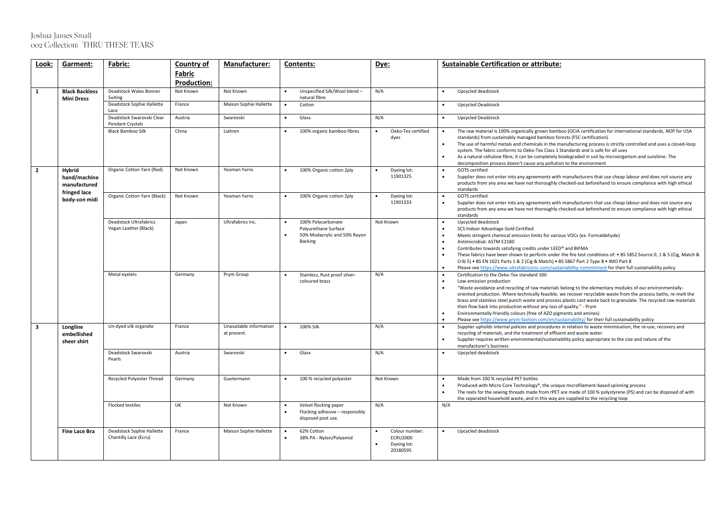## Joshua James Small<br>002 Collection: THRU THESE TEARS

| Look:          | Garment:                                      | <b>Fabric:</b>                                         | Country of         | Manufacturer:                          | Contents:                                                                                   | Dye:                                                                      | <b>Sustainable Certification or attribute:</b>                                                                                                                                                                                                                                                                                                                                                                                                                                                                                                                                                                                                                              |
|----------------|-----------------------------------------------|--------------------------------------------------------|--------------------|----------------------------------------|---------------------------------------------------------------------------------------------|---------------------------------------------------------------------------|-----------------------------------------------------------------------------------------------------------------------------------------------------------------------------------------------------------------------------------------------------------------------------------------------------------------------------------------------------------------------------------------------------------------------------------------------------------------------------------------------------------------------------------------------------------------------------------------------------------------------------------------------------------------------------|
|                |                                               |                                                        | Fabric             |                                        |                                                                                             |                                                                           |                                                                                                                                                                                                                                                                                                                                                                                                                                                                                                                                                                                                                                                                             |
|                |                                               |                                                        | <b>Production:</b> |                                        |                                                                                             |                                                                           |                                                                                                                                                                                                                                                                                                                                                                                                                                                                                                                                                                                                                                                                             |
| $\mathbf{1}$   | <b>Black Backless</b>                         | Deadstock Wales Bonner                                 | Not Known          | Not Known                              | Unspecified Silk/Wool blend -                                                               | N/A                                                                       | Upcycled deadstock                                                                                                                                                                                                                                                                                                                                                                                                                                                                                                                                                                                                                                                          |
|                | <b>Mini Dress</b>                             | Suiting                                                |                    |                                        | natural fibre                                                                               |                                                                           |                                                                                                                                                                                                                                                                                                                                                                                                                                                                                                                                                                                                                                                                             |
|                |                                               | Deadstock Sophie Hallette<br>Lace                      | France             | Maison Sophie Hallette                 | Cotton                                                                                      |                                                                           | <b>Upcycled Deadstock</b>                                                                                                                                                                                                                                                                                                                                                                                                                                                                                                                                                                                                                                                   |
|                |                                               | Deadstock Swarovski Clear<br><b>Pendant Crystals</b>   | Austria            | Swarovski                              | Glass<br>$\bullet$                                                                          | N/A                                                                       | Upcycled Deadstock                                                                                                                                                                                                                                                                                                                                                                                                                                                                                                                                                                                                                                                          |
|                |                                               | <b>Black Bamboo Silk</b>                               | China              | Liahren                                | 100% organic bamboo fibres                                                                  | Oeko-Tex certified<br>$\bullet$<br>dyes                                   | The raw material is 100% organically grown bamboo (OCIA certification for international standards, NOP for USA<br>standards) from sustainably managed bamboo forests (FSC certification)<br>The use of harmful metals and chemicals in the manufacturing process is strictly controlled and uses a closed-loop<br>system. The fabric conforms to Oeko-Tex Class 1 Standards and is safe for all uses<br>As a natural cellulose fibre, it can be completely biodegraded in soil by microorganism and sunshine. The<br>decomposition process doesn't cause any pollution to the environment                                                                                   |
| $\overline{2}$ | <b>Hybrid</b><br>hand/machine<br>manufactured | Organic Cotton Yarn (Red)                              | Not Known          | Yeoman Yarns                           | 100% Organic cotton 2ply                                                                    | Dyeing lot:<br>$\bullet$<br>11901325                                      | GOTS certified<br>Supplier does not enter into any agreements with manufacturers that use cheap labour and does not source any<br>products from any area we have not thoroughly checked-out beforehand to ensure compliance with high ethical<br>standards                                                                                                                                                                                                                                                                                                                                                                                                                  |
|                | fringed lace<br>body-con midi                 | Organic Cotton Yarn (Black)                            | Not Known          | Yeoman Yarns                           | 100% Organic cotton 2ply                                                                    | $\bullet$<br>Dyeing lot:<br>11901333                                      | GOTS certified<br>Supplier does not enter into any agreements with manufacturers that use cheap labour and does not source any<br>products from any area we have not thoroughly checked-out beforehand to ensure compliance with high ethical<br>standards                                                                                                                                                                                                                                                                                                                                                                                                                  |
|                |                                               | <b>Deadstock Ultrafabrics</b><br>Vegan Leather (Black) | Japan              | Ultrafabrics Inc.                      | 100% Polycarbonate<br>Polyurethane Surface<br>50% Modacrylic and 50% Rayon<br>Backing       | Not Known                                                                 | Upcycled deadstock<br>SCS Indoor Advantage Gold Certified<br>Meets stringent chemical emission limits for various VOCs (ex. Formaldehyde)<br>Antimicrobial: ASTM E2180<br>Contributes towards satisfying credits under LEED® and BIFMA<br>These fabrics have been shown to perform under the fire test conditions of: • BS 5852 Source 0, 1 & 5 (Cig, Match &<br>$\bullet$<br>Crib 5) • BS EN 1021 Parts 1 & 2 (Cig & Match) • BS 5867 Part 2 Type B • IMO Part 8<br>Please see https://www.ultrafabricsinc.com/sustainability-commitment for their full sustainability policy                                                                                              |
|                |                                               | Metal eyelets                                          | Germany            | Prym Group                             | Stainless, Rust proof silver-<br>coloured brass                                             | N/A                                                                       | Certification to the Oeko-Tex standard 100<br>Low-emission production<br>"Waste avoidance and recycling of raw materials belong to the elementary modules of our environmentally-<br>oriented production. Where technically feasible, we recover recyclable waste from the process baths, re-melt the<br>brass and stainless steel punch waste and process plastic cast waste back to granulate. The recycled raw materials<br>then flow back into production without any loss of quality." - Prym<br>Environmentally-friendly colours (free of AZO pigments and amines)<br>Please see https://www.prym-fashion.com/en/sustainability/ for their full sustainability policy |
| 3              | Longline<br>embellished<br>sheer shirt        | Un-dyed silk organdie                                  | France             | Unavailable information<br>at present. | 100% Silk                                                                                   | N/A                                                                       | Supplier upholds internal policies and procedures in relation to waste minimisation, the re-use, recovery and<br>recycling of materials, and the treatment of effluent and waste water.<br>Supplier requires written environmental/sustainability policy appropriate to the size and nature of the<br>manufacturer's business                                                                                                                                                                                                                                                                                                                                               |
|                |                                               | Deadstock Swarovski<br>Pearls                          | Austria            | Swarovski                              | Glass                                                                                       | N/A                                                                       | Upcycled deadstock                                                                                                                                                                                                                                                                                                                                                                                                                                                                                                                                                                                                                                                          |
|                |                                               | Recycled Polyester Thread                              | Germany            | Guetermann                             | 100 % recycled polyester                                                                    | Not Known                                                                 | Made from 100 % recycled PET bottles<br>Produced with Micro Core Technology®, the unique microfilament-based spinning process<br>The reels for the sewing threads made from rPET are made of 100 % polystyrene (PS) and can be disposed of with<br>the separated household waste, and in this way are supplied to the recycling loop                                                                                                                                                                                                                                                                                                                                        |
|                |                                               | <b>Flocked textiles</b>                                | <b>UK</b>          | Not Known                              | Velvet flocking paper<br>$\bullet$<br>Flocking adhesive - responsibly<br>disposed post use. | N/A                                                                       | N/A                                                                                                                                                                                                                                                                                                                                                                                                                                                                                                                                                                                                                                                                         |
|                | <b>Fine Lace Bra</b>                          | Deadstock Sophie Hallette<br>Chantilly Lace (Ecru)     | France             | Maison Sophie Hallette                 | 62% Cotton<br>$\bullet$<br>38% PA - Nylon/Polyamid                                          | Colour number:<br>$\bullet$<br><b>ECRU2000</b><br>Dyeing lot:<br>20180595 | Upcycled deadstock                                                                                                                                                                                                                                                                                                                                                                                                                                                                                                                                                                                                                                                          |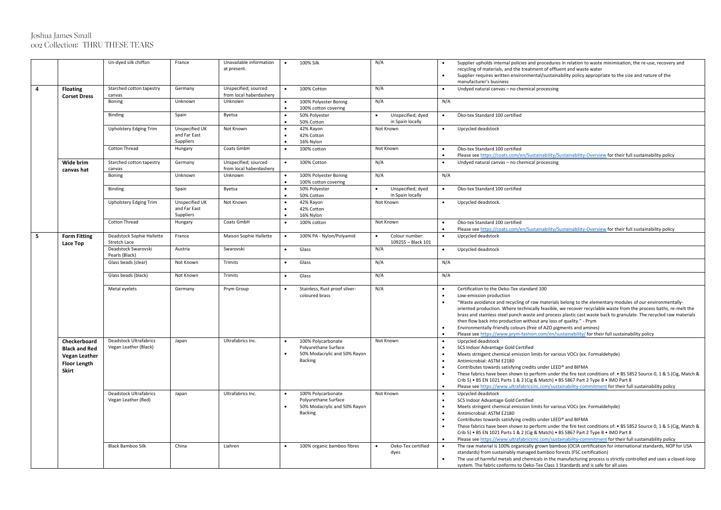## Joshua James Small<br>002 Collection: THRU THESE TEARS

|                          |                                             | Un-dyed silk chiffon                                 | France                                      | Unavailable information<br>at present.          |                        | 100% Silk                                            | N/A                                                |     | Supplier upholds internal policies and procedures in relation to waste minimisation, the re-use, recovery and<br>recycling of materials, and the treatment of effluent and waste water<br>Supplier requires written environmental/sustainability policy appropriate to the size and nature of the                                                                                                                                                                                                                                                                                                                                                                           |
|--------------------------|---------------------------------------------|------------------------------------------------------|---------------------------------------------|-------------------------------------------------|------------------------|------------------------------------------------------|----------------------------------------------------|-----|-----------------------------------------------------------------------------------------------------------------------------------------------------------------------------------------------------------------------------------------------------------------------------------------------------------------------------------------------------------------------------------------------------------------------------------------------------------------------------------------------------------------------------------------------------------------------------------------------------------------------------------------------------------------------------|
| $\overline{4}$           | <b>Floating</b>                             | Starched cotton tapestry                             | Germany                                     | Unspecified; sourced                            |                        | 100% Cotton                                          | N/A                                                |     | manufacturer's business<br>Undyed natural canvas - no chemical processing                                                                                                                                                                                                                                                                                                                                                                                                                                                                                                                                                                                                   |
|                          | <b>Corset Dress</b>                         | canvas<br>Boning                                     | Unknown                                     | from local haberdashery<br>Unknown              | $\bullet$              | 100% Polyester Boning                                | N/A                                                | N/A |                                                                                                                                                                                                                                                                                                                                                                                                                                                                                                                                                                                                                                                                             |
|                          |                                             |                                                      |                                             |                                                 |                        | 100% cotton covering                                 |                                                    |     |                                                                                                                                                                                                                                                                                                                                                                                                                                                                                                                                                                                                                                                                             |
|                          |                                             | Binding                                              | Spain                                       | Byetsa                                          | $\bullet$              | 50% Polyester<br>50% Cotton                          | Unspecified; dyed<br>in Spain locally              |     | Öko-tex Standard 100 certified                                                                                                                                                                                                                                                                                                                                                                                                                                                                                                                                                                                                                                              |
|                          |                                             | <b>Upholstery Edging Trim</b>                        | Unspecified UK<br>and Far East              | Not Known                                       |                        | 42% Rayon<br>42% Cotton                              | Not Known                                          |     | Upcycled deadstock                                                                                                                                                                                                                                                                                                                                                                                                                                                                                                                                                                                                                                                          |
|                          |                                             | <b>Cotton Thread</b>                                 | Suppliers<br>Hungary                        | Coats GmbH                                      |                        | 16% Nvlon<br>100% cotton                             | Not Known                                          |     | Öko-tex Standard 100 certified                                                                                                                                                                                                                                                                                                                                                                                                                                                                                                                                                                                                                                              |
|                          |                                             |                                                      |                                             |                                                 |                        |                                                      |                                                    |     | Please see https://coats.com/en/Sustainability/Sustainability-Overview for their full sustainability policy                                                                                                                                                                                                                                                                                                                                                                                                                                                                                                                                                                 |
|                          | Wide brim<br>canvas hat                     | Starched cotton tapestry<br>canvas                   | Germany                                     | Unspecified; sourced<br>from local haberdashery | $\bullet$              | 100% Cotton                                          | N/A                                                |     | Undyed natural canvas - no chemical processing                                                                                                                                                                                                                                                                                                                                                                                                                                                                                                                                                                                                                              |
|                          |                                             | Boning                                               | Unknown                                     | Unknown                                         | $\bullet$<br>$\bullet$ | 100% Polyester Boning<br>100% cotton covering        | N/A                                                | N/A |                                                                                                                                                                                                                                                                                                                                                                                                                                                                                                                                                                                                                                                                             |
|                          |                                             | Binding                                              | Spain                                       | Byetsa                                          | $\bullet$              | 50% Polyester<br>50% Cotton                          | Unspecified; dyed<br>$\bullet$<br>in Spain locally |     | Öko-tex Standard 100 certified                                                                                                                                                                                                                                                                                                                                                                                                                                                                                                                                                                                                                                              |
|                          |                                             | <b>Upholstery Edging Trim</b>                        | Unspecified UK<br>and Far East<br>Suppliers | Not Known                                       |                        | 42% Rayon<br>42% Cotton<br>16% Nylon                 | Not Known                                          |     | Upcycled deadstock.                                                                                                                                                                                                                                                                                                                                                                                                                                                                                                                                                                                                                                                         |
|                          |                                             | Cotton Thread                                        | Hungary                                     | Coats GmbH                                      |                        | 100% cotton                                          | Not Known                                          |     | Öko-tex Standard 100 certified                                                                                                                                                                                                                                                                                                                                                                                                                                                                                                                                                                                                                                              |
| $\overline{\phantom{a}}$ | <b>Form Fitting</b>                         | Deadstock Sophie Hallette<br>Stretch Lace            | France                                      | Maison Sophie Hallette                          |                        | 100% PA - Nylon/Polyamid                             | Colour number:<br>109255 - Black 101               |     | Please see https://coats.com/en/Sustainability/Sustainability-Overview for their full sustainability policy<br>Upcycled deadstock                                                                                                                                                                                                                                                                                                                                                                                                                                                                                                                                           |
|                          | Lace Top                                    | Deadstock Swarovski<br>Pearls (Black)                | Austria                                     | Swarovski                                       | $\bullet$              | Glass                                                | N/A                                                |     | Upcycled deadstock                                                                                                                                                                                                                                                                                                                                                                                                                                                                                                                                                                                                                                                          |
|                          |                                             | Glass beads (clear)                                  | Not Known                                   | Trimits                                         |                        | Glass                                                | N/A                                                | N/A |                                                                                                                                                                                                                                                                                                                                                                                                                                                                                                                                                                                                                                                                             |
|                          |                                             | Glass beads (black)                                  | Not Known                                   | Trimits                                         |                        | Glass                                                | N/A                                                | N/A |                                                                                                                                                                                                                                                                                                                                                                                                                                                                                                                                                                                                                                                                             |
|                          |                                             | Metal eyelets                                        | Germany                                     | Prym Group                                      |                        | Stainless, Rust proof silver-<br>coloured brass      | N/A                                                |     | Certification to the Oeko-Tex standard 100<br>Low-emission production<br>"Waste avoidance and recycling of raw materials belong to the elementary modules of our environmentally-<br>oriented production. Where technically feasible, we recover recyclable waste from the process baths, re-melt the<br>brass and stainless steel punch waste and process plastic cast waste back to granulate. The recycled raw materials<br>then flow back into production without any loss of quality." - Prym<br>Environmentally-friendly colours (free of AZO pigments and amines)<br>Please see https://www.prym-fashion.com/en/sustainability/ for their full sustainability policy |
|                          | Checkerboard                                | <b>Deadstock Ultrafabrics</b>                        | Japan                                       | Ultrafabrics Inc.                               |                        | 100% Polycarbonate                                   | Not Known                                          |     | Upcycled deadstock                                                                                                                                                                                                                                                                                                                                                                                                                                                                                                                                                                                                                                                          |
|                          | <b>Black and Red</b>                        | Vegan Leather (Black)                                |                                             |                                                 |                        | Polyurethane Surface<br>50% Modacrylic and 50% Rayon |                                                    |     | SCS Indoor Advantage Gold Certified<br>Meets stringent chemical emission limits for various VOCs (ex. Formaldehyde)                                                                                                                                                                                                                                                                                                                                                                                                                                                                                                                                                         |
|                          | <b>Vegan Leather</b><br><b>Floor Length</b> |                                                      |                                             |                                                 |                        | Backing                                              |                                                    |     | Antimicrobial: ASTM E2180                                                                                                                                                                                                                                                                                                                                                                                                                                                                                                                                                                                                                                                   |
|                          | Skirt                                       |                                                      |                                             |                                                 |                        |                                                      |                                                    |     | Contributes towards satisfying credits under LEED® and BIFMA                                                                                                                                                                                                                                                                                                                                                                                                                                                                                                                                                                                                                |
|                          |                                             |                                                      |                                             |                                                 |                        |                                                      |                                                    |     | These fabrics have been shown to perform under the fire test conditions of: • BS 5852 Source 0, 1 & 5 (Cig, Match &<br>Crib 5) . BS EN 1021 Parts 1 & 2 (Cig & Match) . BS 5867 Part 2 Type B . IMO Part 8                                                                                                                                                                                                                                                                                                                                                                                                                                                                  |
|                          |                                             |                                                      |                                             |                                                 |                        |                                                      |                                                    |     | Please see https://www.ultrafabricsinc.com/sustainability-commitment for their full sustainability policy                                                                                                                                                                                                                                                                                                                                                                                                                                                                                                                                                                   |
|                          |                                             | <b>Deadstock Ultrafabrics</b><br>Vegan Leather (Red) | Japan                                       | Ultrafabrics Inc.                               |                        | 100% Polycarbonate<br>Polyurethane Surface           | Not Known                                          |     | Upcycled deadstock<br>SCS Indoor Advantage Gold Certified                                                                                                                                                                                                                                                                                                                                                                                                                                                                                                                                                                                                                   |
|                          |                                             |                                                      |                                             |                                                 |                        | 50% Modacrylic and 50% Rayon                         |                                                    |     | Meets stringent chemical emission limits for various VOCs (ex. Formaldehyde)                                                                                                                                                                                                                                                                                                                                                                                                                                                                                                                                                                                                |
|                          |                                             |                                                      |                                             |                                                 |                        | Backing                                              |                                                    |     | Antimicrobial: ASTM E2180<br>Contributes towards satisfying credits under LEED® and BIFMA                                                                                                                                                                                                                                                                                                                                                                                                                                                                                                                                                                                   |
|                          |                                             |                                                      |                                             |                                                 |                        |                                                      |                                                    |     | These fabrics have been shown to perform under the fire test conditions of: • BS 5852 Source 0, 1 & 5 (Cig, Match &                                                                                                                                                                                                                                                                                                                                                                                                                                                                                                                                                         |
|                          |                                             |                                                      |                                             |                                                 |                        |                                                      |                                                    |     | Crib 5) . BS EN 1021 Parts 1 & 2 (Cig & Match) . BS 5867 Part 2 Type B . IMO Part 8                                                                                                                                                                                                                                                                                                                                                                                                                                                                                                                                                                                         |
|                          |                                             | <b>Black Bamboo Silk</b>                             | China                                       | Liahren                                         |                        | 100% organic bamboo fibres                           | Oeko-Tex certified                                 |     | Please see https://www.ultrafabricsinc.com/sustainability-commitment for their full sustainability policy<br>The raw material is 100% organically grown bamboo (OCIA certification for international standards, NOP for USA                                                                                                                                                                                                                                                                                                                                                                                                                                                 |
|                          |                                             |                                                      |                                             |                                                 |                        |                                                      | dyes                                               |     | standards) from sustainably managed bamboo forests (FSC certification)                                                                                                                                                                                                                                                                                                                                                                                                                                                                                                                                                                                                      |
|                          |                                             |                                                      |                                             |                                                 |                        |                                                      |                                                    |     | The use of harmful metals and chemicals in the manufacturing process is strictly controlled and uses a closed-loop                                                                                                                                                                                                                                                                                                                                                                                                                                                                                                                                                          |
|                          |                                             |                                                      |                                             |                                                 |                        |                                                      |                                                    |     | system. The fabric conforms to Oeko-Tex Class 1 Standards and is safe for all uses                                                                                                                                                                                                                                                                                                                                                                                                                                                                                                                                                                                          |